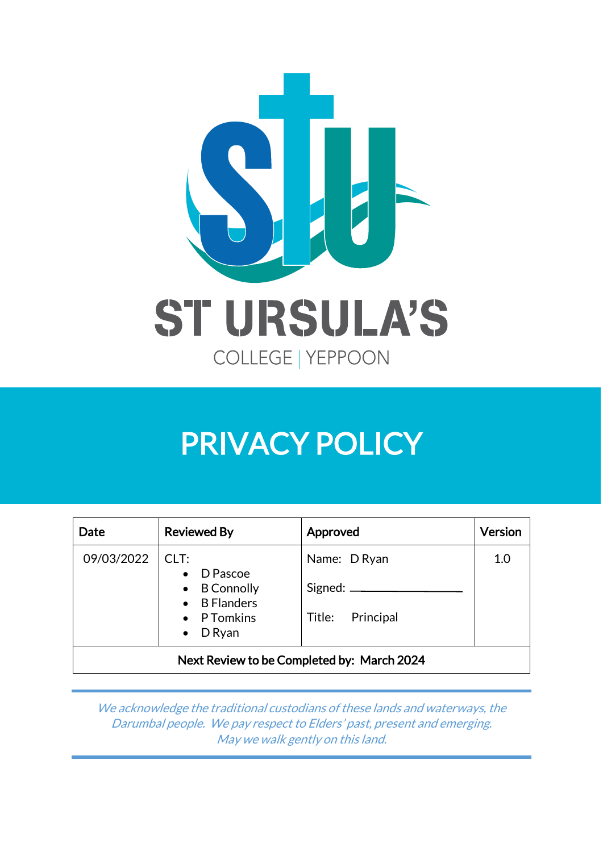

| Date       | <b>Reviewed By</b>                                                                                          | Approved                                              | Version |
|------------|-------------------------------------------------------------------------------------------------------------|-------------------------------------------------------|---------|
| 09/03/2022 | CLT:<br>D Pascoe<br>$\bullet$<br>$\bullet$ B Connolly<br>• B Flanders<br>• P Tomkins<br>D Ryan<br>$\bullet$ | Name: D Ryan<br>Signed: $\_\_$<br>Principal<br>Title: | 1.0     |
|            |                                                                                                             | Next Review to be Completed by: March 2024            |         |

We acknowledge the traditional custodians of these lands and waterways, the Darumbal people. We pay respect to Elders' past, present and emerging. May we walk gently on this land.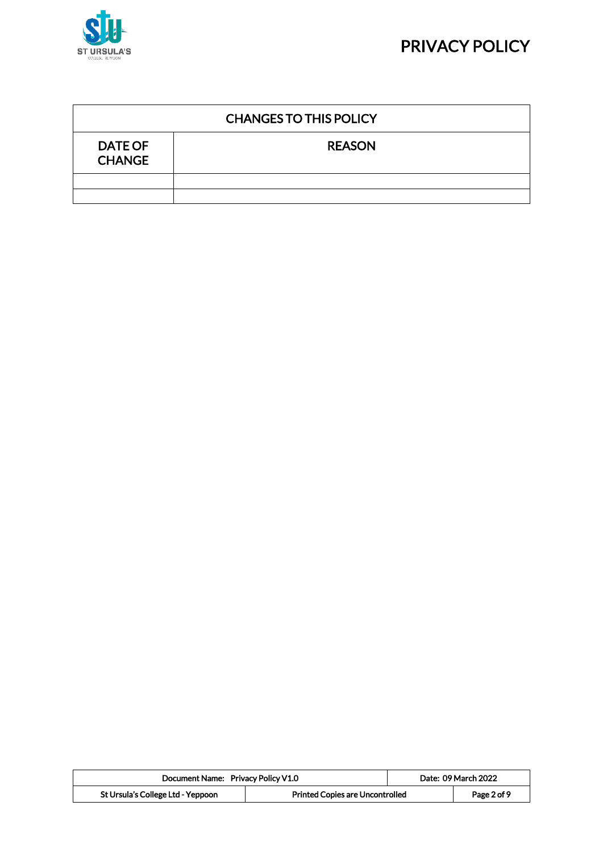



| <b>CHANGES TO THIS POLICY</b>   |               |  |  |
|---------------------------------|---------------|--|--|
| <b>DATE OF</b><br><b>CHANGE</b> | <b>REASON</b> |  |  |
|                                 |               |  |  |
|                                 |               |  |  |

| Document Name: Privacy Policy V1.0 |                                        | Date: 09 March 2022 |
|------------------------------------|----------------------------------------|---------------------|
| St Ursula's College Ltd - Yeppoon  | <b>Printed Copies are Uncontrolled</b> | Page 2 of 9         |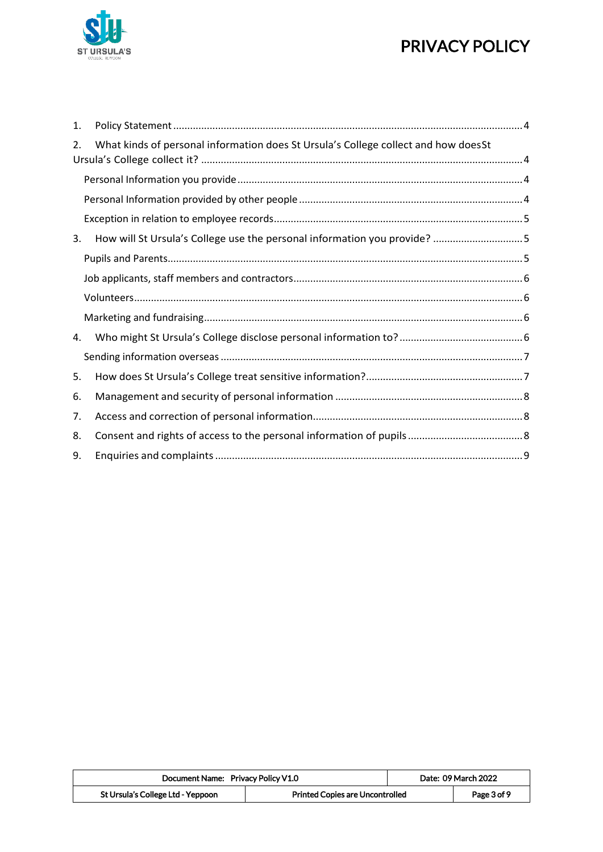

| 1. |                                                                                    |  |
|----|------------------------------------------------------------------------------------|--|
| 2. | What kinds of personal information does St Ursula's College collect and how doesSt |  |
|    |                                                                                    |  |
|    |                                                                                    |  |
|    |                                                                                    |  |
| 3. |                                                                                    |  |
|    |                                                                                    |  |
|    |                                                                                    |  |
|    |                                                                                    |  |
|    |                                                                                    |  |
| 4. |                                                                                    |  |
|    |                                                                                    |  |
| 5. |                                                                                    |  |
| 6. |                                                                                    |  |
| 7. |                                                                                    |  |
| 8. |                                                                                    |  |
| 9. |                                                                                    |  |

| Document Name: Privacy Policy V1.0 |                                        | Date: 09 March 2022 |
|------------------------------------|----------------------------------------|---------------------|
| St Ursula's College Ltd - Yeppoon  | <b>Printed Copies are Uncontrolled</b> | Page 3 of 9         |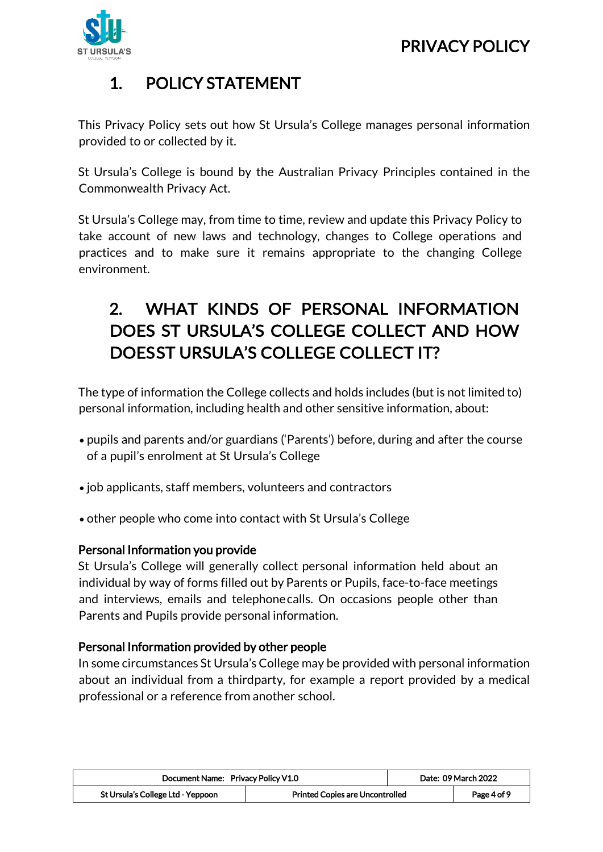

### <span id="page-3-0"></span>1. POLICY STATEMENT

This Privacy Policy sets out how St Ursula's College manages personal information provided to or collected by it.

St Ursula's College is bound by the Australian Privacy Principles contained in the Commonwealth Privacy Act.

St Ursula's College may, from time to time, review and update this Privacy Policy to take account of new laws and technology, changes to College operations and practices and to make sure it remains appropriate to the changing College environment.

### <span id="page-3-1"></span>2. WHAT KINDS OF PERSONAL INFORMATION DOES ST URSULA'S COLLEGE COLLECT AND HOW DOESST URSULA'S COLLEGE COLLECT IT?

The type of information the College collects and holds includes (but is not limited to) personal information, including health and other sensitive information, about:

- pupils and parents and/or guardians ('Parents') before, during and after the course of a pupil's enrolment at St Ursula's College
- job applicants, staff members, volunteers and contractors
- other people who come into contact with St Ursula's College

#### <span id="page-3-2"></span>Personal Information you provide

St Ursula's College will generally collect personal information held about an individual by way of forms filled out by Parents or Pupils, face-to-face meetings and interviews, emails and telephonecalls. On occasions people other than Parents and Pupils provide personal information.

#### <span id="page-3-3"></span>Personal Information provided by other people

In some circumstances St Ursula's College may be provided with personal information about an individual from a thirdparty, for example a report provided by a medical professional or a reference from another school.

| Document Name: Privacy Policy V1.0 |                                        | Date: 09 March 2022 |             |
|------------------------------------|----------------------------------------|---------------------|-------------|
| St Ursula's College Ltd - Yeppoon  | <b>Printed Copies are Uncontrolled</b> |                     | Page 4 of 9 |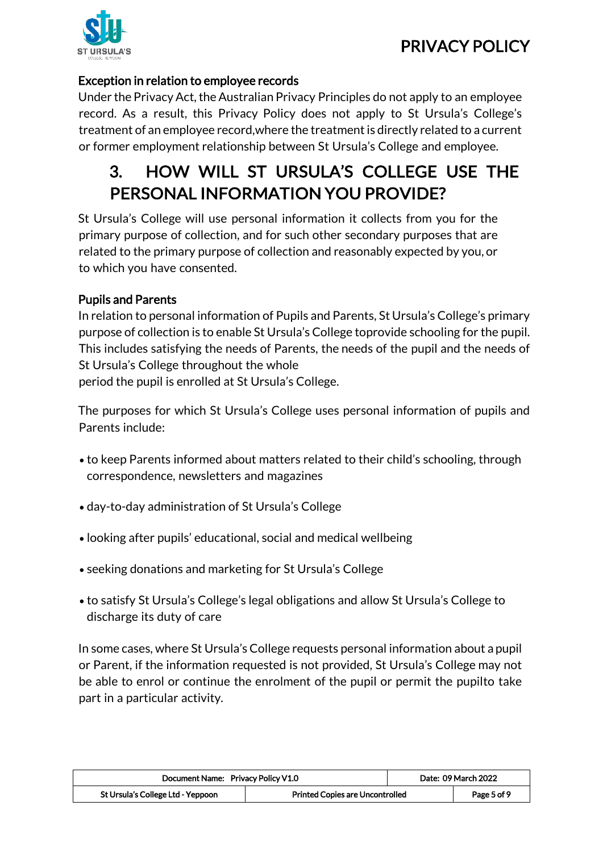

### <span id="page-4-0"></span>Exception in relation to employee records

Under the Privacy Act, the Australian Privacy Principles do not apply to an employee record. As a result, this Privacy Policy does not apply to St Ursula's College's treatment of an employee record,where the treatmentis directly related to a current or former employment relationship between St Ursula's College and employee.

### <span id="page-4-1"></span>3. HOW WILL ST URSULA'S COLLEGE USE THE PERSONAL INFORMATION YOU PROVIDE?

St Ursula's College will use personal information it collects from you for the primary purpose of collection, and for such other secondary purposes that are related to the primary purpose of collection and reasonably expected by you, or to which you have consented.

### <span id="page-4-2"></span>Pupils and Parents

In relation to personal information of Pupils and Parents, St Ursula's College's primary purpose of collection is to enable St Ursula's College toprovide schooling for the pupil. This includes satisfying the needs of Parents, the needs of the pupil and the needs of St Ursula's College throughout the whole period the pupil is enrolled at St Ursula's College.

The purposes for which St Ursula's College uses personal information of pupils and Parents include:

- to keep Parents informed about matters related to their child's schooling, through correspondence, newsletters and magazines
- day-to-day administration of St Ursula's College
- looking after pupils' educational, social and medical wellbeing
- seeking donations and marketing for St Ursula's College
- to satisfy St Ursula's College's legal obligations and allow St Ursula's College to discharge its duty of care

In some cases, where St Ursula's College requests personal information about a pupil or Parent, if the information requested is not provided, St Ursula's College may not be able to enrol or continue the enrolment of the pupil or permit the pupilto take part in a particular activity.

| Document Name: Privacy Policy V1.0 |                                 | Date: 09 March 2022 |
|------------------------------------|---------------------------------|---------------------|
| St Ursula's College Ltd - Yeppoon  | Printed Copies are Uncontrolled | Page 5 of 9         |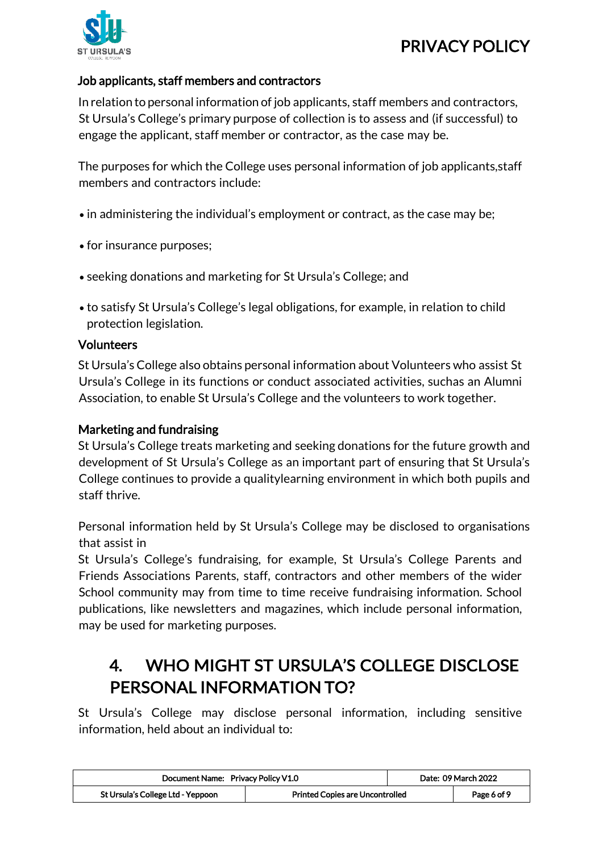

#### <span id="page-5-0"></span>Job applicants, staff members and contractors

In relation to personal information of job applicants, staff members and contractors, St Ursula's College's primary purpose of collection is to assess and (if successful) to engage the applicant, staff member or contractor, as the case may be.

The purposes for which the College uses personal information of job applicants,staff members and contractors include:

- in administering the individual's employment or contract, as the case may be;
- for insurance purposes;
- seeking donations and marketing for St Ursula's College; and
- to satisfy St Ursula's College's legal obligations, for example, in relation to child protection legislation.

#### <span id="page-5-1"></span>Volunteers

St Ursula's College also obtains personal information about Volunteers who assist St Ursula's College in its functions or conduct associated activities, suchas an Alumni Association, to enable St Ursula's College and the volunteers to work together.

#### <span id="page-5-2"></span>Marketing and fundraising

St Ursula's College treats marketing and seeking donations for the future growth and development of St Ursula's College as an important part of ensuring that St Ursula's College continues to provide a qualitylearning environment in which both pupils and staff thrive.

Personal information held by St Ursula's College may be disclosed to organisations that assist in

St Ursula's College's fundraising, for example, St Ursula's College Parents and Friends Associations Parents, staff, contractors and other members of the wider School community may from time to time receive fundraising information. School publications, like newsletters and magazines, which include personal information, may be used for marketing purposes.

### <span id="page-5-3"></span>4. WHO MIGHT ST URSULA'S COLLEGE DISCLOSE PERSONAL INFORMATION TO?

St Ursula's College may disclose personal information, including sensitive information, held about an individual to:

| Document Name: Privacy Policy V1.0 |                                        | Date: 09 March 2022 |             |
|------------------------------------|----------------------------------------|---------------------|-------------|
| St Ursula's College Ltd - Yeppoon  | <b>Printed Copies are Uncontrolled</b> |                     | Page 6 of 9 |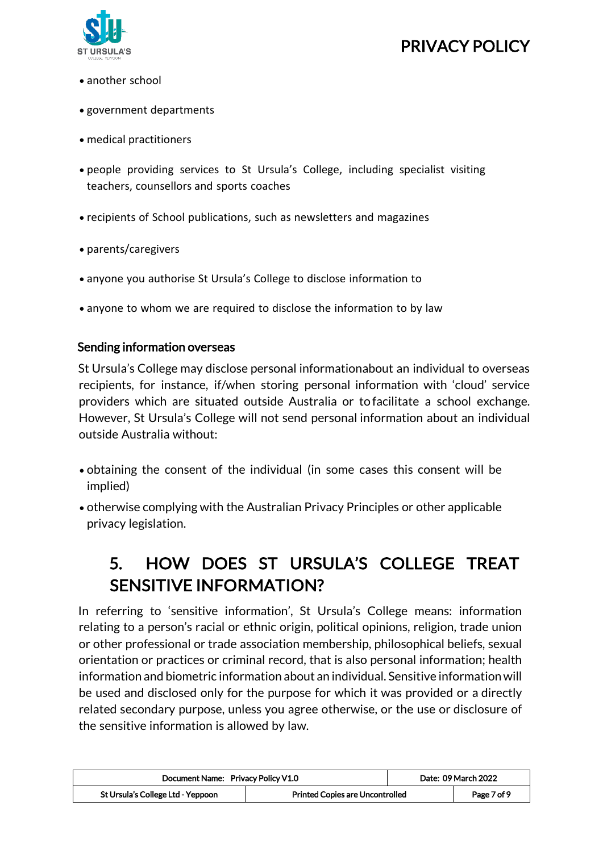

- another school
- government departments
- medical practitioners
- people providing services to St Ursula's College, including specialist visiting teachers, counsellors and sports coaches
- recipients of School publications, such as newsletters and magazines
- parents/caregivers
- anyone you authorise St Ursula's College to disclose information to
- anyone to whom we are required to disclose the information to by law

#### <span id="page-6-0"></span>Sending information overseas

St Ursula's College may disclose personal informationabout an individual to overseas recipients, for instance, if/when storing personal information with 'cloud' service providers which are situated outside Australia or to facilitate a school exchange. However, St Ursula's College will not send personal information about an individual outside Australia without:

- obtaining the consent of the individual (in some cases this consent will be implied)
- otherwise complying with the Australian Privacy Principles or other applicable privacy legislation.

### <span id="page-6-1"></span>5. HOW DOES ST URSULA'S COLLEGE TREAT SENSITIVE INFORMATION?

In referring to 'sensitive information', St Ursula's College means: information relating to a person's racial or ethnic origin, political opinions, religion, trade union or other professional or trade association membership, philosophical beliefs, sexual orientation or practices or criminal record, that is also personal information; health information and biometric information about an individual. Sensitive informationwill be used and disclosed only for the purpose for which it was provided or a directly related secondary purpose, unless you agree otherwise, or the use or disclosure of the sensitive information is allowed by law.

| Document Name: Privacy Policy V1.0                                          |  | Date: 09 March 2022 |             |
|-----------------------------------------------------------------------------|--|---------------------|-------------|
| St Ursula's College Ltd - Yeppoon<br><b>Printed Copies are Uncontrolled</b> |  |                     | Page 7 of 9 |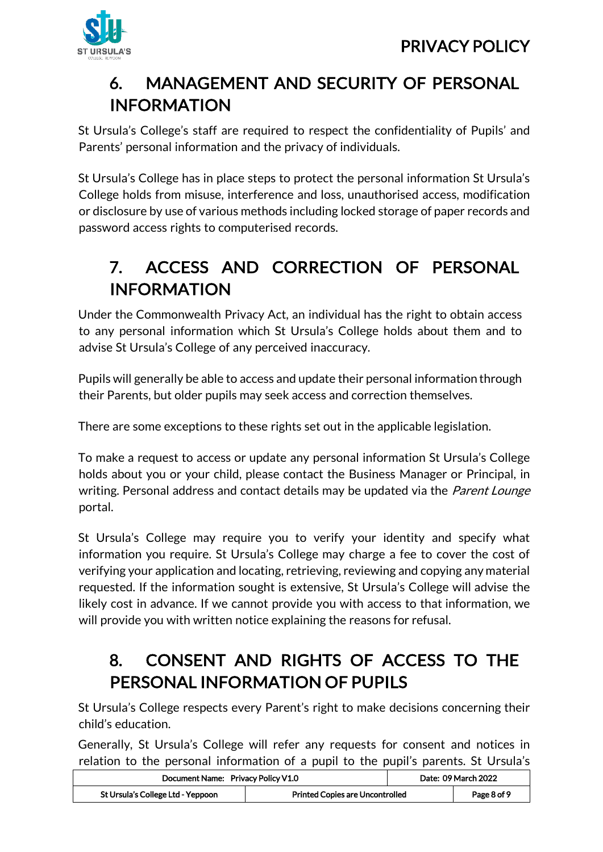

# <span id="page-7-0"></span>6. MANAGEMENT AND SECURITY OF PERSONAL INFORMATION

St Ursula's College's staff are required to respect the confidentiality of Pupils' and Parents' personal information and the privacy of individuals.

St Ursula's College has in place steps to protect the personal information St Ursula's College holds from misuse, interference and loss, unauthorised access, modification or disclosure by use of various methods including locked storage of paper records and password access rights to computerised records.

# <span id="page-7-1"></span>7. ACCESS AND CORRECTION OF PERSONAL INFORMATION

Under the Commonwealth Privacy Act, an individual has the right to obtain access to any personal information which St Ursula's College holds about them and to advise St Ursula's College of any perceived inaccuracy.

Pupils will generally be able to access and update their personal information through their Parents, but older pupils may seek access and correction themselves.

There are some exceptions to these rights set out in the applicable legislation.

To make a request to access or update any personal information St Ursula's College holds about you or your child, please contact the Business Manager or Principal, in writing. Personal address and contact details may be updated via the *Parent Lounge* portal.

St Ursula's College may require you to verify your identity and specify what information you require. St Ursula's College may charge a fee to cover the cost of verifying your application and locating, retrieving, reviewing and copying any material requested. If the information sought is extensive, St Ursula's College will advise the likely cost in advance. If we cannot provide you with access to that information, we will provide you with written notice explaining the reasons for refusal.

### <span id="page-7-2"></span>8. CONSENT AND RIGHTS OF ACCESS TO THE PERSONAL INFORMATION OF PUPILS

St Ursula's College respects every Parent's right to make decisions concerning their child's education.

Generally, St Ursula's College will refer any requests for consent and notices in relation to the personal information of a pupil to the pupil's parents. St Ursula's

| Document Name: Privacy Policy V1.0 |                                        | Date: 09 March 2022 |
|------------------------------------|----------------------------------------|---------------------|
| St Ursula's College Ltd - Yeppoon  | <b>Printed Copies are Uncontrolled</b> | Page 8 of 9         |